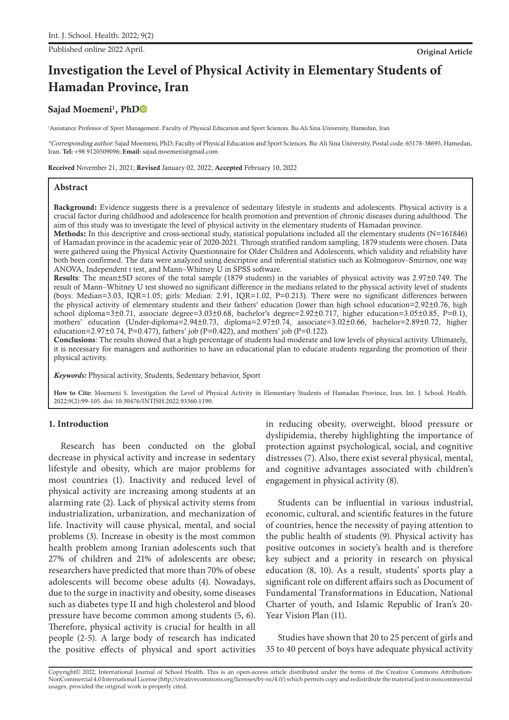Published online 2022 April. **Original Article**

# **Investigation the Level of Physical Activity in Elementary Students of Hamadan Province, Iran**

## Sajad Moemeni<sup>1</sup>, Ph[D](https://orcid.org/0000-0001-6426-5540)

<sup>1</sup>Assistance Professor of Sport Management. Faculty of Physical Education and Sport Sciences. Bu-Ali Sina University, Hamedan, Iran

\*Corresponding author: Sajad Moemeni, PhD; Faculty of Physical Education and Sport Sciences. Bu-Ali Sina University, Postal code: 65178-38695, Hamedan, Iran. **Tel:** +98 9120509096; **Email:** sajad.moemeni@gmail.com

Received November 21, 2021; Revised January 02, 2022; Accepted February 10, 2022

## **Abstract**

Background: Evidence suggests there is a prevalence of sedentary lifestyle in students and adolescents. Physical activity is a crucial factor during childhood and adolescence for health promotion and prevention of chronic diseases during adulthood. The aim of this study was to investigate the level of physical activity in the elementary students of Hamadan province.

Methods: In this descriptive and cross-sectional study, statistical populations included all the elementary students (N=161846) of Hamadan province in the academic year of 2020-2021. Through stratified random sampling, 1879 students were chosen. Data were gathered using the Physical Activity Questionnaire for Older Children and Adolescents, which validity and reliability have both been confirmed. The data were analyzed using descriptive and inferential statistics such as Kolmogorov–Smirnov, one way ANOVA, Independent t test, and Mann–Whitney U in SPSS software.

Results: The mean±SD scores of the total sample (1879 students) in the variables of physical activity was 2.97±0.749. The result of Mann–Whitney U test showed no significant difference in the medians related to the physical activity level of students (boys: Median=3.03, IQR=1.05; girls: Median: 2.91, IQR=1.02, P=0.213). There were no significant differences between the physical activity of elementary students and their fathers' education (lower than high school education=2.92±0.76, high school diploma=3 $\pm$ 0.71, associate degree=3.03 $\pm$ 0.68, bachelor's degree=2.92 $\pm$ 0.717, higher education=3.05 $\pm$ 0.85, P=0.1), mothers' education (Under-diploma=2.94±0.73, diploma=2.97±0.74, associate=3.02±0.66, bachelor=2.89±0.72, higher education=2.97 $\pm$ 0.74, P=0.477), fathers' job (P=0.422), and mothers' job (P=0.122).

Conclusions: The results showed that a high percentage of students had moderate and low levels of physical activity. Ultimately, it is necessary for managers and authorities to have an educational plan to educate students regarding the promotion of their physical activity.

*Keywords:* Physical activity, Students, Sedentary behavior, Sport

**How to Cite:** Moemeni S. Investigation the Level of Physical Activity in Elementary Students of Hamadan Province, Iran. Int. J. School. Health. 2022;9(2):99-105. doi: 10.30476/INTJSH.2022.93360.1190.

## **1. Introduction**

Research has been conducted on the global decrease in physical activity and increase in sedentary lifestyle and obesity, which are major problems for most countries (1). Inactivity and reduced level of physical activity are increasing among students at an alarming rate (2). Lack of physical activity stems from industrialization, urbanization, and mechanization of life. Inactivity will cause physical, mental, and social problems (3). Increase in obesity is the most common health problem among Iranian adolescents such that 27% of children and 21% of adolescents are obese; researchers have predicted that more than 70% of obese adolescents will become obese adults (4). Nowadays, due to the surge in inactivity and obesity, some diseases such as diabetes type II and high cholesterol and blood pressure have become common among students (5, 6). Therefore, physical activity is crucial for health in all people (2-5). A large body of research has indicated the positive effects of physical and sport activities

in reducing obesity, overweight, blood pressure or dyslipidemia, thereby highlighting the importance of protection against psychological, social, and cognitive distresses (7). Also, there exist several physical, mental, and cognitive advantages associated with children's engagement in physical activity (8).

Students can be influential in various industrial, economic, cultural, and scientific features in the future of countries, hence the necessity of paying attention to the public health of students (9). Physical activity has positive outcomes in society's health and is therefore key subject and a priority in research on physical education (8, 10). As a result, students' sports play a significant role on different affairs such as Document of Fundamental Transformations in Education, National Charter of youth, and Islamic Republic of Iran's 20- Year Vision Plan (11).

Studies have shown that 20 to 25 percent of girls and 35 to 40 percent of boys have adequate physical activity

Copyright© 2022, International Journal of School Health. This is an open-access article distributed under the terms of the Creative Commons Attribution-NonCommercial 4.0 International License (http://creativecommons.org/licenses/by-nc/4.0/) which permits copy and redistribute the material just in noncommercial usages, provided the original work is properly cited.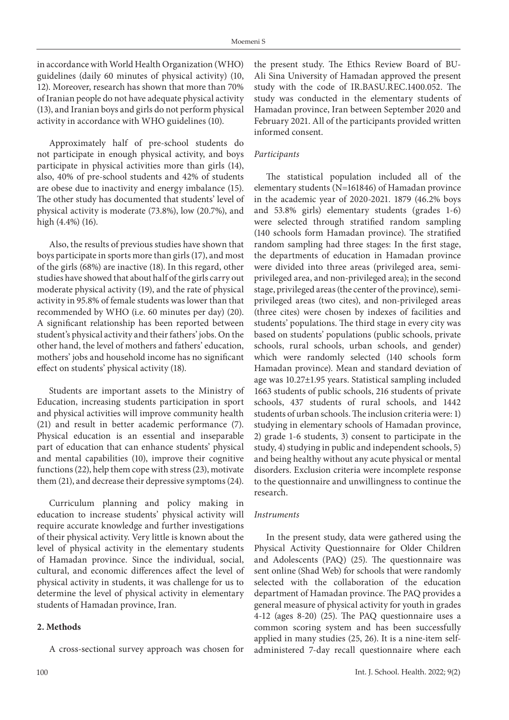in accordance with World Health Organization (WHO) guidelines (daily 60 minutes of physical activity) (10, 12). Moreover, research has shown that more than 70% of Iranian people do not have adequate physical activity (13), and Iranian boys and girls do not perform physical activity in accordance with WHO guidelines (10).

Approximately half of pre-school students do not participate in enough physical activity, and boys participate in physical activities more than girls (14), also, 40% of pre-school students and 42% of students are obese due to inactivity and energy imbalance (15). The other study has documented that students' level of physical activity is moderate (73.8%), low (20.7%), and high (4.4%) (16).

Also, the results of previous studies have shown that boys participate in sports more than girls (17), and most of the girls (68%) are inactive (18). In this regard, other studies have showed that about half of the girls carry out moderate physical activity (19), and the rate of physical activity in 95.8% of female students was lower than that recommended by WHO (i.e. 60 minutes per day) (20). A significant relationship has been reported between student's physical activity and their fathers' jobs. On the other hand, the level of mothers and fathers' education, mothers' jobs and household income has no significant effect on students' physical activity (18).

Students are important assets to the Ministry of Education, increasing students participation in sport and physical activities will improve community health (21) and result in better academic performance (7). Physical education is an essential and inseparable part of education that can enhance students' physical and mental capabilities (10), improve their cognitive functions (22), help them cope with stress (23), motivate them (21), and decrease their depressive symptoms (24).

Curriculum planning and policy making in education to increase students' physical activity will require accurate knowledge and further investigations of their physical activity. Very little is known about the level of physical activity in the elementary students of Hamadan province. Since the individual, social, cultural, and economic differences affect the level of physical activity in students, it was challenge for us to determine the level of physical activity in elementary students of Hamadan province, Iran.

## **2. Methods**

A cross-sectional survey approach was chosen for

the present study. The Ethics Review Board of BU-Ali Sina University of Hamadan approved the present study with the code of IR.BASU.REC.1400.052. The study was conducted in the elementary students of Hamadan province, Iran between September 2020 and February 2021. All of the participants provided written informed consent.

## *Participants*

The statistical population included all of the elementary students (N=161846) of Hamadan province in the academic year of 2020-2021. 1879 (46.2% boys and 53.8% girls) elementary students (grades 1-6) were selected through stratified random sampling (140 schools form Hamadan province). The stratified random sampling had three stages: In the first stage, the departments of education in Hamadan province were divided into three areas (privileged area, semiprivileged area, and non-privileged area); in the second stage, privileged areas (the center of the province), semiprivileged areas (two cites), and non-privileged areas (three cites) were chosen by indexes of facilities and students' populations. The third stage in every city was based on students' populations (public schools, private schools, rural schools, urban schools, and gender) which were randomly selected (140 schools form Hamadan province). Mean and standard deviation of age was 10.27±1.95 years. Statistical sampling included 1663 students of public schools, 216 students of private schools, 437 students of rural schools, and 1442 students of urban schools. The inclusion criteria were: 1) studying in elementary schools of Hamadan province, 2) grade 1-6 students, 3) consent to participate in the study, 4) studying in public and independent schools, 5) and being healthy without any acute physical or mental disorders. Exclusion criteria were incomplete response to the questionnaire and unwillingness to continue the research.

#### *Instruments*

In the present study, data were gathered using the Physical Activity Questionnaire for Older Children and Adolescents (PAQ) (25). The questionnaire was sent online (Shad Web) for schools that were randomly selected with the collaboration of the education department of Hamadan province. The PAQ provides a general measure of physical activity for youth in grades 4-12 (ages 8-20) (25). The PAQ questionnaire uses a common scoring system and has been successfully applied in many studies (25, 26). It is a nine-item selfadministered 7-day recall questionnaire where each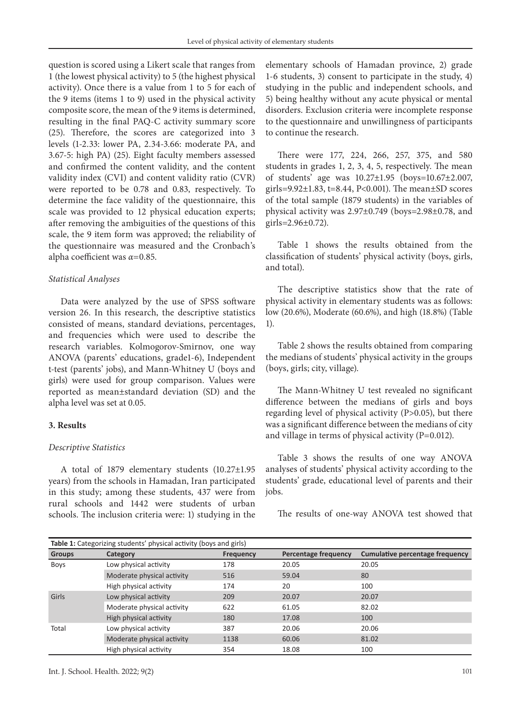question is scored using a Likert scale that ranges from 1 (the lowest physical activity) to 5 (the highest physical activity). Once there is a value from 1 to 5 for each of the 9 items (items 1 to 9) used in the physical activity composite score, the mean of the 9 items is determined, resulting in the final PAQ-C activity summary score (25). Therefore, the scores are categorized into 3 levels (1-2.33: lower PA, 2.34-3.66: moderate PA, and 3.67-5: high PA) (25). Eight faculty members assessed and confirmed the content validity, and the content validity index (CVI) and content validity ratio (CVR) were reported to be 0.78 and 0.83, respectively. To determine the face validity of the questionnaire, this scale was provided to 12 physical education experts; after removing the ambiguities of the questions of this scale, the 9 item form was approved; the reliability of the questionnaire was measured and the Cronbach's alpha coefficient was *α=*0.85.

#### *Statistical Analyses*

Data were analyzed by the use of SPSS software version 26. In this research, the descriptive statistics consisted of means, standard deviations, percentages, and frequencies which were used to describe the research variables. Kolmogorov-Smirnov, one way ANOVA (parents' educations, grade1-6), Independent t-test (parents' jobs), and Mann-Whitney U (boys and girls) were used for group comparison. Values were reported as mean±standard deviation (SD) and the alpha level was set at 0.05.

#### **3. Results**

#### *Descriptive Statistics*

A total of 1879 elementary students (10.27±1.95 years) from the schools in Hamadan, Iran participated in this study; among these students, 437 were from rural schools and 1442 were students of urban schools. The inclusion criteria were: 1) studying in the

elementary schools of Hamadan province, 2) grade 1-6 students, 3) consent to participate in the study, 4) studying in the public and independent schools, and 5) being healthy without any acute physical or mental disorders. Exclusion criteria were incomplete response to the questionnaire and unwillingness of participants to continue the research.

There were 177, 224, 266, 257, 375, and 580 students in grades 1, 2, 3, 4, 5, respectively. The mean of students' age was 10.27±1.95 (boys=10.67±2.007, girls= $9.92 \pm 1.83$ , t= $8.44$ , P<0.001). The mean $\pm$ SD scores of the total sample (1879 students) in the variables of physical activity was 2.97±0.749 (boys=2.98±0.78, and girls= $2.96 \pm 0.72$ ).

Table 1 shows the results obtained from the classification of students' physical activity (boys, girls, and total).

The descriptive statistics show that the rate of physical activity in elementary students was as follows: low (20.6%), Moderate (60.6%), and high (18.8%) (Table 1).

Table 2 shows the results obtained from comparing the medians of students' physical activity in the groups (boys, girls; city, village).

The Mann-Whitney U test revealed no significant difference between the medians of girls and boys regarding level of physical activity (P>0.05), but there was a significant difference between the medians of city and village in terms of physical activity (P=0.012).

Table 3 shows the results of one way ANOVA analyses of students' physical activity according to the students' grade, educational level of parents and their jobs.

The results of one-way ANOVA test showed that

|               | Table 1: Categorizing students' physical activity (boys and girls) |                  |                             |                                 |
|---------------|--------------------------------------------------------------------|------------------|-----------------------------|---------------------------------|
| <b>Groups</b> | Category                                                           | <b>Frequency</b> | <b>Percentage frequency</b> | Cumulative percentage frequency |
| <b>Boys</b>   | Low physical activity                                              | 178              | 20.05                       | 20.05                           |
|               | Moderate physical activity                                         | 516              | 59.04                       | 80                              |
|               | High physical activity                                             | 174              | 20                          | 100                             |
| Girls         | Low physical activity                                              | 209              | 20.07                       | 20.07                           |
|               | Moderate physical activity                                         | 622              | 61.05                       | 82.02                           |
|               | High physical activity                                             | 180              | 17.08                       | 100                             |
| Total         | Low physical activity                                              | 387              | 20.06                       | 20.06                           |
|               | Moderate physical activity                                         | 1138             | 60.06                       | 81.02                           |
|               | High physical activity                                             | 354              | 18.08                       | 100                             |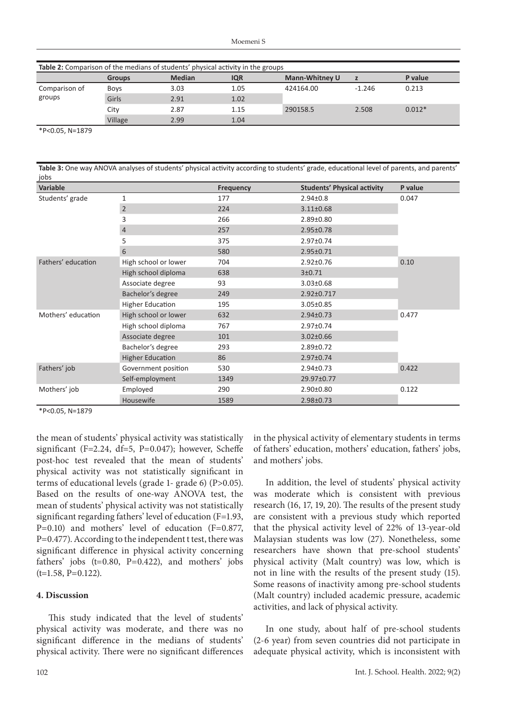| Table 2: Comparison of the medians of students' physical activity in the groups |               |               |            |                       |          |          |
|---------------------------------------------------------------------------------|---------------|---------------|------------|-----------------------|----------|----------|
|                                                                                 | <b>Groups</b> | <b>Median</b> | <b>IQR</b> | <b>Mann-Whitney U</b> |          | P value  |
| Comparison of                                                                   | <b>Boys</b>   | 3.03          | 1.05       | 424164.00             | $-1.246$ | 0.213    |
| groups                                                                          | Girls         | 2.91          | 1.02       |                       |          |          |
|                                                                                 | City          | 2.87          | 1.15       | 290158.5              | 2.508    | $0.012*$ |
|                                                                                 | Village       | 2.99          | 1.04       |                       |          |          |

\*P<0.05, N=1879

| Table 3. One way ANOVA analyses of students privsical activity according to students' grade, equeational level of parents, and parents<br>jobs |               |                  |                                    |               |  |
|------------------------------------------------------------------------------------------------------------------------------------------------|---------------|------------------|------------------------------------|---------------|--|
| Variable                                                                                                                                       |               | <b>Frequency</b> | <b>Students' Physical activity</b> | P value       |  |
| Students' grade                                                                                                                                |               | 177              | $2.94 \pm 0.8$                     | 0.047         |  |
|                                                                                                                                                |               | 224              | $3.11 \pm 0.68$                    |               |  |
|                                                                                                                                                |               | 266              | 2.89±0.80                          |               |  |
|                                                                                                                                                |               | 257              | 2.95±0.78                          |               |  |
|                                                                                                                                                |               | 375              | 2.97±0.74                          |               |  |
|                                                                                                                                                | $\mathfrak b$ | 580              | 2.95±0.71                          |               |  |
|                                                                                                                                                | .<br>.        | $  -$            | $\sim$ $\sim$ $\sim$ $\sim$ $\sim$ | $\sim$ $\sim$ |  |

**Table 3:** One way ANOVA analyses of students' physical activity according to students' grade, educational level of parents, and parents'

|                    | ر                       | ر ر  | 2.J/ LU./4      |       |
|--------------------|-------------------------|------|-----------------|-------|
|                    | 6                       | 580  | 2.95±0.71       |       |
| Fathers' education | High school or lower    | 704  | $2.92 \pm 0.76$ | 0.10  |
|                    | High school diploma     | 638  | 3±0.71          |       |
|                    | Associate degree        | 93   | $3.03 \pm 0.68$ |       |
|                    | Bachelor's degree       | 249  | 2.92±0.717      |       |
|                    | <b>Higher Education</b> | 195  | $3.05 \pm 0.85$ |       |
| Mothers' education | High school or lower    | 632  | $2.94 \pm 0.73$ | 0.477 |
|                    | High school diploma     | 767  | 2.97±0.74       |       |
|                    | Associate degree        | 101  | $3.02 \pm 0.66$ |       |
|                    | Bachelor's degree       | 293  | $2.89 \pm 0.72$ |       |
|                    | <b>Higher Education</b> | 86   | 2.97±0.74       |       |
| Fathers' job       | Government position     | 530  | 2.94±0.73       | 0.422 |
|                    | Self-employment         | 1349 | 29.97±0.77      |       |
| Mothers' job       | Employed                | 290  | 2.90±0.80       | 0.122 |
|                    | Housewife               | 1589 | 2.98±0.73       |       |

\*P<0.05, N=1879

the mean of students' physical activity was statistically significant (F=2.24, df=5, P=0.047); however, Scheffe post-hoc test revealed that the mean of students' physical activity was not statistically significant in terms of educational levels (grade 1- grade 6) (P>0.05). Based on the results of one-way ANOVA test, the mean of students' physical activity was not statistically significant regarding fathers' level of education (F=1.93, P=0.10) and mothers' level of education (F=0.877, P=0.477). According to the independent t test, there was significant difference in physical activity concerning fathers' jobs (t=0.80, P=0.422), and mothers' jobs (t=1.58, P=0.122).

#### **4. Discussion**

This study indicated that the level of students' physical activity was moderate, and there was no significant difference in the medians of students' physical activity. There were no significant differences in the physical activity of elementary students in terms of fathers' education, mothers' education, fathers' jobs, and mothers' jobs.

In addition, the level of students' physical activity was moderate which is consistent with previous research (16, 17, 19, 20). The results of the present study are consistent with a previous study which reported that the physical activity level of 22% of 13-year-old Malaysian students was low (27). Nonetheless, some researchers have shown that pre-school students' physical activity (Malt country) was low, which is not in line with the results of the present study (15). Some reasons of inactivity among pre-school students (Malt country) included academic pressure, academic activities, and lack of physical activity.

In one study, about half of pre-school students (2-6 year) from seven countries did not participate in adequate physical activity, which is inconsistent with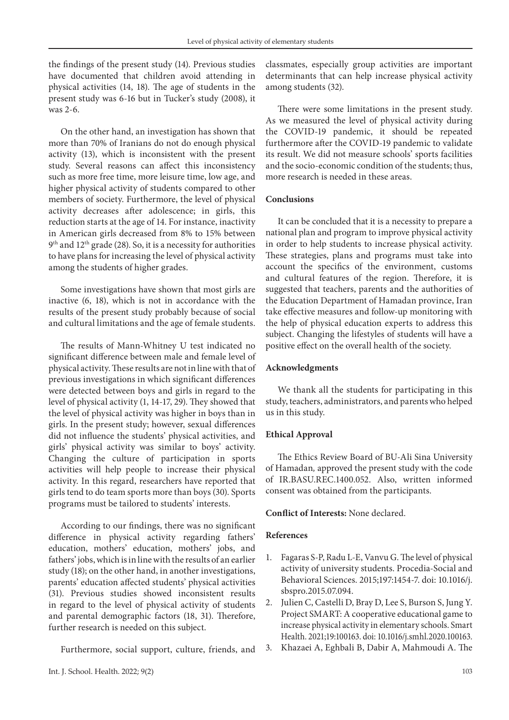the findings of the present study (14). Previous studies have documented that children avoid attending in physical activities (14, 18). The age of students in the present study was 6-16 but in Tucker's study (2008), it was 2-6.

On the other hand, an investigation has shown that more than 70% of Iranians do not do enough physical activity (13), which is inconsistent with the present study. Several reasons can affect this inconsistency such as more free time, more leisure time, low age, and higher physical activity of students compared to other members of society. Furthermore, the level of physical activity decreases after adolescence; in girls, this reduction starts at the age of 14. For instance, inactivity in American girls decreased from 8% to 15% between 9<sup>th</sup> and 12<sup>th</sup> grade (28). So, it is a necessity for authorities to have plans for increasing the level of physical activity among the students of higher grades.

Some investigations have shown that most girls are inactive (6, 18), which is not in accordance with the results of the present study probably because of social and cultural limitations and the age of female students.

The results of Mann-Whitney U test indicated no significant difference between male and female level of physical activity. These results are not in line with that of previous investigations in which significant differences were detected between boys and girls in regard to the level of physical activity (1, 14-17, 29). They showed that the level of physical activity was higher in boys than in girls. In the present study; however, sexual differences did not influence the students' physical activities, and girls' physical activity was similar to boys' activity. Changing the culture of participation in sports activities will help people to increase their physical activity. In this regard, researchers have reported that girls tend to do team sports more than boys (30). Sports programs must be tailored to students' interests.

According to our findings, there was no significant difference in physical activity regarding fathers' education, mothers' education, mothers' jobs, and fathers' jobs, which is in line with the results of an earlier study (18); on the other hand, in another investigations, parents' education affected students' physical activities (31). Previous studies showed inconsistent results in regard to the level of physical activity of students and parental demographic factors (18, 31). Therefore, further research is needed on this subject.

Furthermore, social support, culture, friends, and

classmates, especially group activities are important determinants that can help increase physical activity among students (32).

There were some limitations in the present study. As we measured the level of physical activity during the COVID-19 pandemic, it should be repeated furthermore after the COVID-19 pandemic to validate its result. We did not measure schools' sports facilities and the socio-economic condition of the students; thus, more research is needed in these areas.

#### **Conclusions**

It can be concluded that it is a necessity to prepare a national plan and program to improve physical activity in order to help students to increase physical activity. These strategies, plans and programs must take into account the specifics of the environment, customs and cultural features of the region. Therefore, it is suggested that teachers, parents and the authorities of the Education Department of Hamadan province, Iran take effective measures and follow-up monitoring with the help of physical education experts to address this subject. Changing the lifestyles of students will have a positive effect on the overall health of the society.

#### **Acknowledgments**

We thank all the students for participating in this study, teachers, administrators, and parents who helped us in this study.

#### **Ethical Approval**

The Ethics Review Board of BU-Ali Sina University of Hamadan*,* approved the present study with the code of IR.BASU.REC.1400.052. Also, written informed consent was obtained from the participants.

#### **Conflict of Interests:** None declared.

#### **References**

- 1. Fagaras S-P, Radu L-E, Vanvu G. The level of physical activity of university students. Procedia-Social and Behavioral Sciences. 2015;197:1454-7. doi: 10.1016/j. sbspro.2015.07.094.
- 2. Julien C, Castelli D, Bray D, Lee S, Burson S, Jung Y. Project SMART: A cooperative educational game to increase physical activity in elementary schools. Smart Health. 2021;19:100163. doi: 10.1016/j.smhl.2020.100163.
- 3. Khazaei A, Eghbali B, Dabir A, Mahmoudi A. The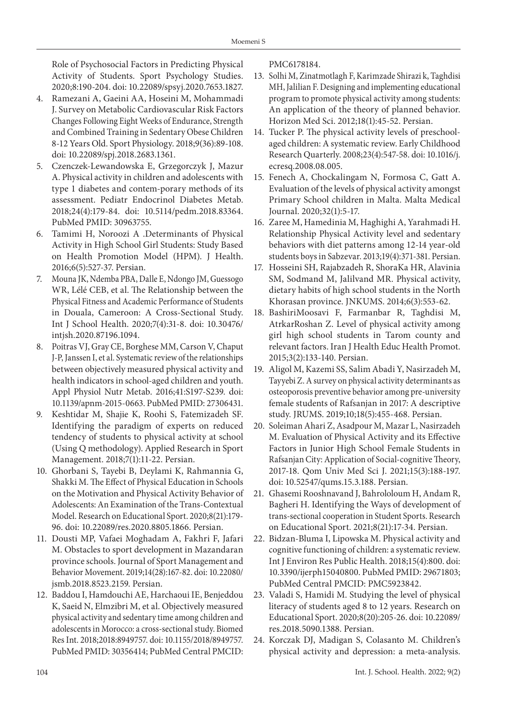Role of Psychosocial Factors in Predicting Physical Activity of Students. Sport Psychology Studies. 2020;8:190-204. doi: 10.22089/spsyj.2020.7653.1827.

- 4. Ramezani A, Gaeini AA, Hoseini M, Mohammadi J. Survey on Metabolic Cardiovascular Risk Factors Changes Following Eight Weeks of Endurance, Strength and Combined Training in Sedentary Obese Children 8-12 Years Old. Sport Physiology. 2018;9(36):89-108. doi: 10.22089/spj.2018.2683.1361.
- 5. Czenczek-Lewandowska E, Grzegorczyk J, Mazur A. Physical activity in children and adolescents with type 1 diabetes and contem-porary methods of its assessment. Pediatr Endocrinol Diabetes Metab. 2018;24(4):179-84. doi: 10.5114/pedm.2018.83364. PubMed PMID: 30963755.
- 6. Tamimi H, Noroozi A .Determinants of Physical Activity in High School Girl Students: Study Based on Health Promotion Model (HPM). J Health. 2016;6(5):527-37. Persian.
- 7. Mouna JK, Ndemba PBA, Dalle E, Ndongo JM, Guessogo WR, Lélé CEB, et al. The Relationship between the Physical Fitness and Academic Performance of Students in Douala, Cameroon: A Cross-Sectional Study. Int J School Health. 2020;7(4):31-8. doi: 10.30476/ intjsh.2020.87196.1094.
- 8. Poitras VJ, Gray CE, Borghese MM, Carson V, Chaput J-P, Janssen I, et al. Systematic review of the relationships between objectively measured physical activity and health indicators in school-aged children and youth. Appl Physiol Nutr Metab. 2016;41:S197-S239. doi: 10.1139/apnm-2015-0663. PubMed PMID: 27306431.
- 9. Keshtidar M, Shajie K, Roohi S, Fatemizadeh SF. Identifying the paradigm of experts on reduced tendency of students to physical activity at school (Using Q methodology). Applied Research in Sport Management. 2018;7(1):11-22. Persian.
- 10. Ghorbani S, Tayebi B, Deylami K, Rahmannia G, Shakki M. The Effect of Physical Education in Schools on the Motivation and Physical Activity Behavior of Adolescents: An Examination of the Trans-Contextual Model. Research on Educational Sport. 2020;8(21):179- 96. doi: 10.22089/res.2020.8805.1866. Persian.
- 11. Dousti MP, Vafaei Moghadam A, Fakhri F, Jafari M. Obstacles to sport development in Mazandaran province schools. Journal of Sport Management and Behavior Movement. 2019;14(28):167-82. doi: 10.22080/ jsmb.2018.8523.2159. Persian.
- 12. Baddou I, Hamdouchi AE, Harchaoui IE, Benjeddou K, Saeid N, Elmzibri M, et al. Objectively measured physical activity and sedentary time among children and adolescents in Morocco: a cross-sectional study. Biomed Res Int. 2018;2018:8949757. doi: 10.1155/2018/8949757. PubMed PMID: 30356414; PubMed Central PMCID:

PMC6178184.

- 13. Solhi M, Zinatmotlagh F, Karimzade Shirazi k, Taghdisi MH, Jalilian F. Designing and implementing educational program to promote physical activity among students: An application of the theory of planned behavior. Horizon Med Sci. 2012;18(1):45-52. Persian.
- 14. Tucker P. The physical activity levels of preschoolaged children: A systematic review. Early Childhood Research Quarterly. 2008;23(4):547-58. doi: 10.1016/j. ecresq.2008.08.005.
- 15. Fenech A, Chockalingam N, Formosa C, Gatt A. Evaluation of the levels of physical activity amongst Primary School children in Malta. Malta Medical Journal. 2020;32(1):5-17.
- 16. Zaree M, Hamedinia M, Haghighi A, Yarahmadi H. Relationship Physical Activity level and sedentary behaviors with diet patterns among 12-14 year-old students boys in Sabzevar. 2013;19(4):371-381. Persian.
- 17. Hosseini SH, Rajabzadeh R, ShoraKa HR, Alavinia SM, Sodmand M, Jalilvand MR. Physical activity, dietary habits of high school students in the North Khorasan province. JNKUMS. 2014;6(3):553-62.
- 18. BashiriMoosavi F, Farmanbar R, Taghdisi M, AtrkarRoshan Z. Level of physical activity among girl high school students in Tarom county and relevant factors. Iran J Health Educ Health Promot. 2015;3(2):133-140. Persian.
- 19. Aligol M, Kazemi SS, Salim Abadi Y, Nasirzadeh M, Tayyebi Z. A survey on physical activity determinants as osteoporosis preventive behavior among pre-university female students of Rafsanjan in 2017: A descriptive study. JRUMS. 2019;10;18(5):455-468. Persian.
- 20. Soleiman Ahari Z, Asadpour M, Mazar L, Nasirzadeh M. Evaluation of Physical Activity and its Effective Factors in Junior High School Female Students in Rafsanjan City: Application of Social-cognitive Theory, 2017-18. Qom Univ Med Sci J. 2021;15(3):188-197. doi: 10.52547/qums.15.3.188. Persian.
- 21. Ghasemi Rooshnavand J, Bahrololoum H, Andam R, Bagheri H. Identifying the Ways of development of trans-sectional cooperation in Student Sports. Research on Educational Sport. 2021;8(21):17-34. Persian.
- 22. Bidzan-Bluma I, Lipowska M. Physical activity and cognitive functioning of children: a systematic review. Int J Environ Res Public Health. 2018;15(4):800. doi: 10.3390/ijerph15040800. PubMed PMID: 29671803; PubMed Central PMCID: PMC5923842.
- 23. Valadi S, Hamidi M. Studying the level of physical literacy of students aged 8 to 12 years. Research on Educational Sport. 2020;8(20):205-26. doi: 10.22089/ res.2018.5090.1388. Persian.
- 24. Korczak DJ, Madigan S, Colasanto M. Children's physical activity and depression: a meta-analysis.